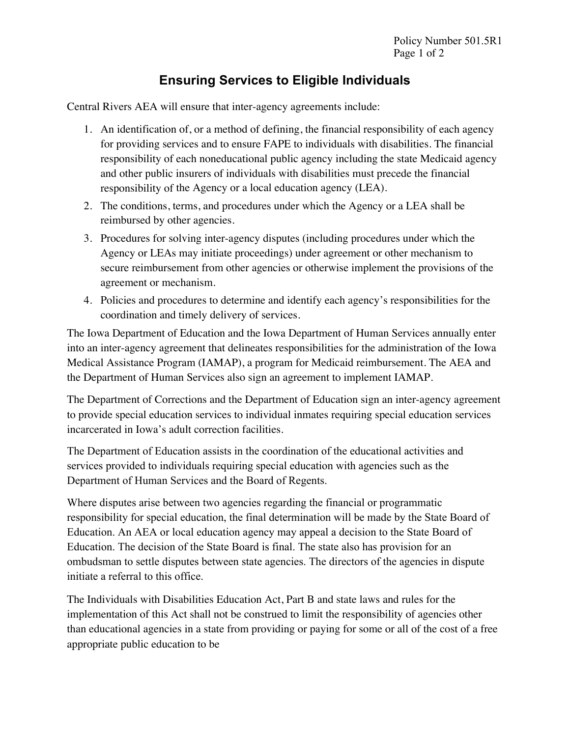## **Ensuring Services to Eligible Individuals**

Central Rivers AEA will ensure that inter-agency agreements include:

- 1. An identification of, or a method of defining, the financial responsibility of each agency for providing services and to ensure FAPE to individuals with disabilities. The financial responsibility of each noneducational public agency including the state Medicaid agency and other public insurers of individuals with disabilities must precede the financial responsibility of the Agency or a local education agency (LEA).
- 2. The conditions, terms, and procedures under which the Agency or a LEA shall be reimbursed by other agencies.
- 3. Procedures for solving inter-agency disputes (including procedures under which the Agency or LEAs may initiate proceedings) under agreement or other mechanism to secure reimbursement from other agencies or otherwise implement the provisions of the agreement or mechanism.
- 4. Policies and procedures to determine and identify each agency's responsibilities for the coordination and timely delivery of services.

The Iowa Department of Education and the Iowa Department of Human Services annually enter into an inter-agency agreement that delineates responsibilities for the administration of the Iowa Medical Assistance Program (IAMAP), a program for Medicaid reimbursement. The AEA and the Department of Human Services also sign an agreement to implement IAMAP.

The Department of Corrections and the Department of Education sign an inter-agency agreement to provide special education services to individual inmates requiring special education services incarcerated in Iowa's adult correction facilities.

The Department of Education assists in the coordination of the educational activities and services provided to individuals requiring special education with agencies such as the Department of Human Services and the Board of Regents.

Where disputes arise between two agencies regarding the financial or programmatic responsibility for special education, the final determination will be made by the State Board of Education. An AEA or local education agency may appeal a decision to the State Board of Education. The decision of the State Board is final. The state also has provision for an ombudsman to settle disputes between state agencies. The directors of the agencies in dispute initiate a referral to this office.

The Individuals with Disabilities Education Act, Part B and state laws and rules for the implementation of this Act shall not be construed to limit the responsibility of agencies other than educational agencies in a state from providing or paying for some or all of the cost of a free appropriate public education to be